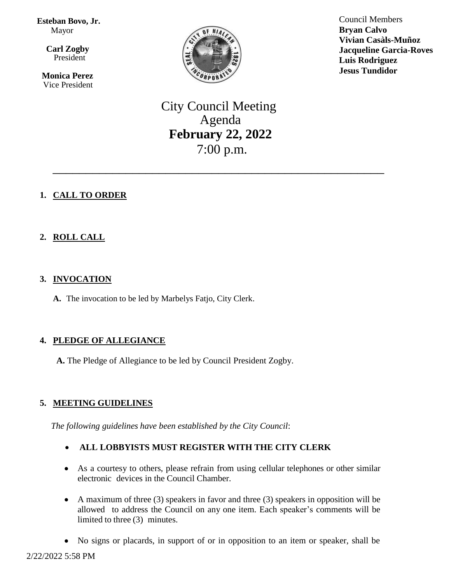**Esteban Bovo, Jr.**  Mayor

 $\overline{\mathbf{a}}$  **Carl Zogby** President

> **Monica Perez** Vice President



Council Members **Bryan Calvo Vivian Casàls-Muñoz Jacqueline Garcia-Roves Luis Rodriguez Jesus Tundidor**

City Council Meeting Agenda **February 22, 2022** 7:00 p.m.

\_\_\_\_\_\_\_\_\_\_\_\_\_\_\_\_\_\_\_\_\_\_\_\_\_\_\_\_\_\_\_\_\_\_\_\_\_\_\_\_\_\_\_\_\_\_\_\_\_\_

# **1. CALL TO ORDER**

# **2. ROLL CALL**

## **3. INVOCATION**

**A.** The invocation to be led by Marbelys Fatjo, City Clerk.

# **4. PLEDGE OF ALLEGIANCE**

**A.** The Pledge of Allegiance to be led by Council President Zogby.

# **5. MEETING GUIDELINES**

*The following guidelines have been established by the City Council*:

- **ALL LOBBYISTS MUST REGISTER WITH THE CITY CLERK**
- As a courtesy to others, please refrain from using cellular telephones or other similar electronic devices in the Council Chamber.
- A maximum of three (3) speakers in favor and three (3) speakers in opposition will be allowed to address the Council on any one item. Each speaker's comments will be limited to three (3) minutes.
- No signs or placards, in support of or in opposition to an item or speaker, shall be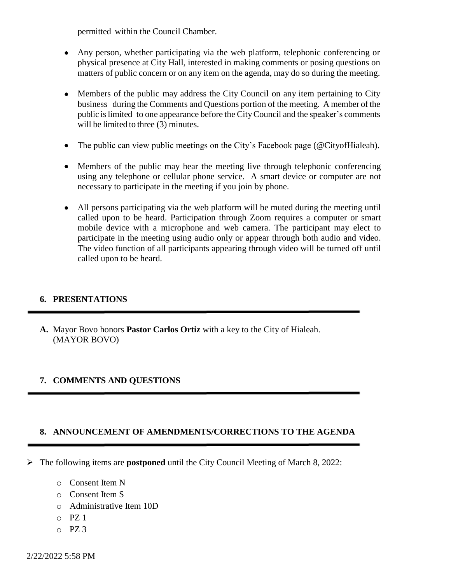permitted within the Council Chamber.

- Any person, whether participating via the web platform, telephonic conferencing or physical presence at City Hall, interested in making comments or posing questions on matters of public concern or on any item on the agenda, may do so during the meeting.
- Members of the public may address the City Council on any item pertaining to City business during the Comments and Questions portion of the meeting. A member of the public islimited to one appearance before the CityCouncil and the speaker's comments will be limited to three (3) minutes.
- The public can view public meetings on the City's Facebook page (@CityofHialeah).
- Members of the public may hear the meeting live through telephonic conferencing using any telephone or cellular phone service. A smart device or computer are not necessary to participate in the meeting if you join by phone.
- All persons participating via the web platform will be muted during the meeting until called upon to be heard. Participation through Zoom requires a computer or smart mobile device with a microphone and web camera. The participant may elect to participate in the meeting using audio only or appear through both audio and video. The video function of all participants appearing through video will be turned off until called upon to be heard.

### **6. PRESENTATIONS**

**A.** Mayor Bovo honors **Pastor Carlos Ortiz** with a key to the City of Hialeah. (MAYOR BOVO)

# **7. COMMENTS AND QUESTIONS**

### **8. ANNOUNCEMENT OF AMENDMENTS/CORRECTIONS TO THE AGENDA**

- The following items are **postponed** until the City Council Meeting of March 8, 2022:
	- o Consent Item N
	- o Consent Item S
	- o Administrative Item 10D
	- $O$  PZ 1
	- $O$  PZ 3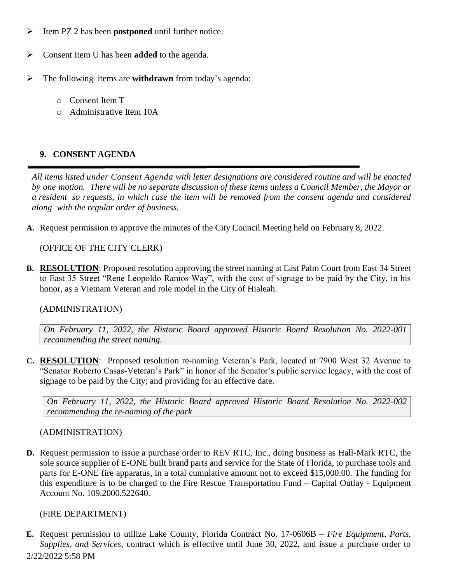- Item PZ 2 has been **postponed** until further notice.
- Consent Item U has been **added** to the agenda.
- The following items are **withdrawn** from today's agenda:
	- o Consent Item T
	- o Administrative Item 10A

## **9. CONSENT AGENDA**

*All items listed under Consent Agenda with letter designations are considered routine and will be enacted* by one motion. There will be no separate discussion of these items unless a Council Member, the Mayor or a resident so requests, in which case the item will be removed from the consent agenda and considered *along with the regular order of business.*

**A.** Request permission to approve the minutes of the City Council Meeting held on February 8, 2022.

(OFFICE OF THE CITY CLERK)

**B. RESOLUTION**: Proposed resolution approving the street naming at East Palm Court from East 34 Street to East 35 Street "Rene Leopoldo Ramos Way", with the cost of signage to be paid by the City, in his honor, as a Vietnam Veteran and role model in the City of Hialeah.

### (ADMINISTRATION)

*On February 11, 2022, the Historic Board approved Historic Board Resolution No. 2022-001 recommending the street naming.*

**C. RESOLUTION**: Proposed resolution re-naming Veteran's Park, located at 7900 West 32 Avenue to "Senator Roberto Casas-Veteran's Park" in honor of the Senator's public service legacy, with the cost of signage to be paid by the City; and providing for an effective date.

*On February 11, 2022, the Historic Board approved Historic Board Resolution No. 2022-002 recommending the re-naming of the park*

#### (ADMINISTRATION)

**D.** Request permission to issue a purchase order to REV RTC, Inc., doing business as Hall-Mark RTC, the sole source supplier of E-ONE built brand parts and service for the State of Florida, to purchase tools and parts for E-ONE fire apparatus, in a total cumulative amount not to exceed \$15,000.00. The funding for this expenditure is to be charged to the Fire Rescue Transportation Fund – Capital Outlay - Equipment Account No. 109.2000.522640.

### (FIRE DEPARTMENT)

2/22/2022 5:58 PM **E.** Request permission to utilize Lake County, Florida Contract No. 17-0606B – *Fire Equipment, Parts, Supplies, and Services*, contract which is effective until June 30, 2022, and issue a purchase order to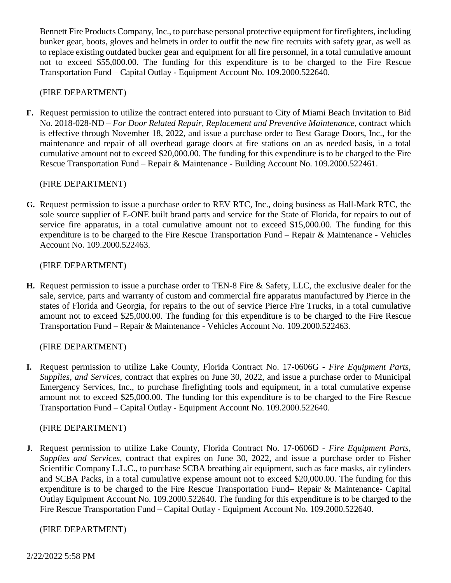Bennett Fire Products Company, Inc., to purchase personal protective equipment for firefighters, including bunker gear, boots, gloves and helmets in order to outfit the new fire recruits with safety gear, as well as to replace existing outdated bucker gear and equipment for all fire personnel, in a total cumulative amount not to exceed \$55,000.00. The funding for this expenditure is to be charged to the Fire Rescue Transportation Fund – Capital Outlay - Equipment Account No. 109.2000.522640.

### (FIRE DEPARTMENT)

**F.** Request permission to utilize the contract entered into pursuant to City of Miami Beach Invitation to Bid No. 2018-028-ND – *For Door Related Repair, Replacement and Preventive Maintenance*, contract which is effective through November 18, 2022, and issue a purchase order to Best Garage Doors, Inc., for the maintenance and repair of all overhead garage doors at fire stations on an as needed basis, in a total cumulative amount not to exceed \$20,000.00. The funding for this expenditure is to be charged to the Fire Rescue Transportation Fund – Repair & Maintenance - Building Account No. 109.2000.522461.

## (FIRE DEPARTMENT)

**G.** Request permission to issue a purchase order to REV RTC, Inc., doing business as Hall-Mark RTC, the sole source supplier of E-ONE built brand parts and service for the State of Florida, for repairs to out of service fire apparatus, in a total cumulative amount not to exceed \$15,000.00. The funding for this expenditure is to be charged to the Fire Rescue Transportation Fund – Repair & Maintenance - Vehicles Account No. 109.2000.522463.

### (FIRE DEPARTMENT)

**H.** Request permission to issue a purchase order to TEN-8 Fire & Safety, LLC, the exclusive dealer for the sale, service, parts and warranty of custom and commercial fire apparatus manufactured by Pierce in the states of Florida and Georgia, for repairs to the out of service Pierce Fire Trucks, in a total cumulative amount not to exceed \$25,000.00. The funding for this expenditure is to be charged to the Fire Rescue Transportation Fund – Repair & Maintenance - Vehicles Account No. 109.2000.522463.

### (FIRE DEPARTMENT)

**I.** Request permission to utilize Lake County, Florida Contract No. 17-0606G - *Fire Equipment Parts, Supplies, and Services,* contract that expires on June 30, 2022, and issue a purchase order to Municipal Emergency Services, Inc., to purchase firefighting tools and equipment, in a total cumulative expense amount not to exceed \$25,000.00. The funding for this expenditure is to be charged to the Fire Rescue Transportation Fund – Capital Outlay - Equipment Account No. 109.2000.522640.

### (FIRE DEPARTMENT)

**J.** Request permission to utilize Lake County, Florida Contract No. 17-0606D - *Fire Equipment Parts, Supplies and Services,* contract that expires on June 30, 2022*,* and issue a purchase order to Fisher Scientific Company L.L.C., to purchase SCBA breathing air equipment, such as face masks, air cylinders and SCBA Packs, in a total cumulative expense amount not to exceed \$20,000.00. The funding for this expenditure is to be charged to the Fire Rescue Transportation Fund– Repair & Maintenance- Capital Outlay Equipment Account No. 109.2000.522640. The funding for this expenditure is to be charged to the Fire Rescue Transportation Fund – Capital Outlay - Equipment Account No. 109.2000.522640.

### (FIRE DEPARTMENT)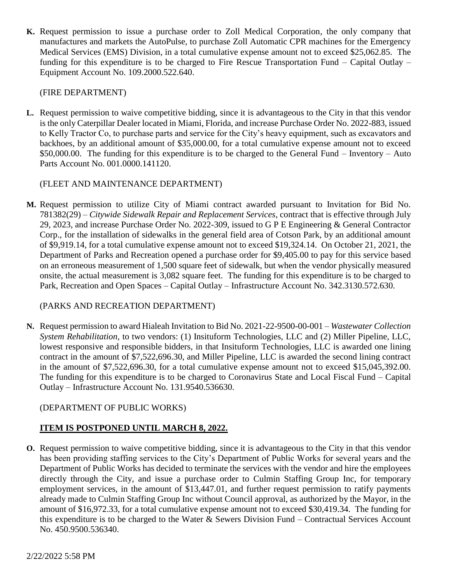**K.** Request permission to issue a purchase order to Zoll Medical Corporation, the only company that manufactures and markets the AutoPulse, to purchase Zoll Automatic CPR machines for the Emergency Medical Services (EMS) Division, in a total cumulative expense amount not to exceed \$25,062.85. The funding for this expenditure is to be charged to Fire Rescue Transportation Fund – Capital Outlay – Equipment Account No. 109.2000.522.640.

### (FIRE DEPARTMENT)

**L.** Request permission to waive competitive bidding, since it is advantageous to the City in that this vendor is the only Caterpillar Dealer located in Miami, Florida, and increase Purchase Order No. 2022-883, issued to Kelly Tractor Co, to purchase parts and service for the City's heavy equipment, such as excavators and backhoes, by an additional amount of \$35,000.00, for a total cumulative expense amount not to exceed \$50,000.00. The funding for this expenditure is to be charged to the General Fund – Inventory – Auto Parts Account No. 001.0000.141120.

## (FLEET AND MAINTENANCE DEPARTMENT)

**M.** Request permission to utilize City of Miami contract awarded pursuant to Invitation for Bid No. 781382(29) – *Citywide Sidewalk Repair and Replacement Services*, contract that is effective through July 29, 2023, and increase Purchase Order No. 2022-309, issued to G P E Engineering & General Contractor Corp., for the installation of sidewalks in the general field area of Cotson Park, by an additional amount of \$9,919.14, for a total cumulative expense amount not to exceed \$19,324.14. On October 21, 2021, the Department of Parks and Recreation opened a purchase order for \$9,405.00 to pay for this service based on an erroneous measurement of 1,500 square feet of sidewalk, but when the vendor physically measured onsite, the actual measurement is 3,082 square feet. The funding for this expenditure is to be charged to Park, Recreation and Open Spaces – Capital Outlay – Infrastructure Account No. 342.3130.572.630.

# (PARKS AND RECREATION DEPARTMENT)

**N.** Request permission to award Hialeah Invitation to Bid No. 2021-22-9500-00-001 – *Wastewater Collection System Rehabilitation*, to two vendors: (1) Insituform Technologies, LLC and (2) Miller Pipeline, LLC, lowest responsive and responsible bidders, in that Insituform Technologies, LLC is awarded one lining contract in the amount of \$7,522,696.30, and Miller Pipeline, LLC is awarded the second lining contract in the amount of \$7,522,696.30, for a total cumulative expense amount not to exceed \$15,045,392.00. The funding for this expenditure is to be charged to Coronavirus State and Local Fiscal Fund – Capital Outlay – Infrastructure Account No. 131.9540.536630.

# (DEPARTMENT OF PUBLIC WORKS)

# **ITEM IS POSTPONED UNTIL MARCH 8, 2022.**

**O.** Request permission to waive competitive bidding, since it is advantageous to the City in that this vendor has been providing staffing services to the City's Department of Public Works for several years and the Department of Public Works has decided to terminate the services with the vendor and hire the employees directly through the City, and issue a purchase order to Culmin Staffing Group Inc, for temporary employment services, in the amount of \$13,447.01, and further request permission to ratify payments already made to Culmin Staffing Group Inc without Council approval, as authorized by the Mayor, in the amount of \$16,972.33, for a total cumulative expense amount not to exceed \$30,419.34. The funding for this expenditure is to be charged to the Water & Sewers Division Fund – Contractual Services Account No. 450.9500.536340.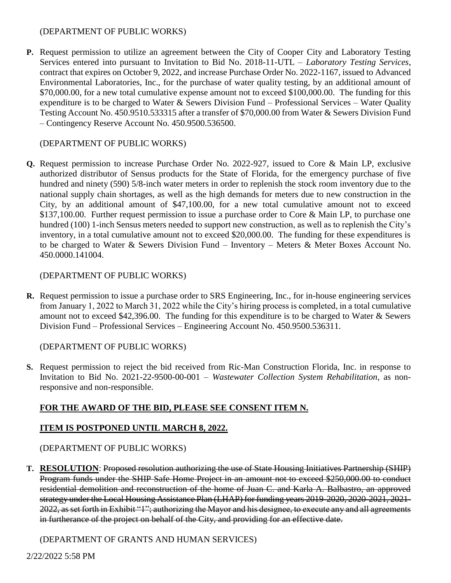#### (DEPARTMENT OF PUBLIC WORKS)

**P.** Request permission to utilize an agreement between the City of Cooper City and Laboratory Testing Services entered into pursuant to Invitation to Bid No. 2018-11-UTL – *Laboratory Testing Services*, contract that expires on October 9, 2022, and increase Purchase Order No. 2022-1167, issued to Advanced Environmental Laboratories, Inc., for the purchase of water quality testing, by an additional amount of \$70,000.00, for a new total cumulative expense amount not to exceed \$100,000.00. The funding for this expenditure is to be charged to Water & Sewers Division Fund – Professional Services – Water Quality Testing Account No. 450.9510.533315 after a transfer of \$70,000.00 from Water & Sewers Division Fund – Contingency Reserve Account No. 450.9500.536500.

### (DEPARTMENT OF PUBLIC WORKS)

**Q.** Request permission to increase Purchase Order No. 2022-927, issued to Core & Main LP, exclusive authorized distributor of Sensus products for the State of Florida, for the emergency purchase of five hundred and ninety (590) 5/8-inch water meters in order to replenish the stock room inventory due to the national supply chain shortages, as well as the high demands for meters due to new construction in the City, by an additional amount of \$47,100.00, for a new total cumulative amount not to exceed \$137,100.00. Further request permission to issue a purchase order to Core & Main LP, to purchase one hundred (100) 1-inch Sensus meters needed to support new construction, as well as to replenish the City's inventory, in a total cumulative amount not to exceed \$20,000.00. The funding for these expenditures is to be charged to Water & Sewers Division Fund – Inventory – Meters & Meter Boxes Account No. 450.0000.141004.

### (DEPARTMENT OF PUBLIC WORKS)

**R.** Request permission to issue a purchase order to SRS Engineering, Inc., for in-house engineering services from January 1, 2022 to March 31, 2022 while the City's hiring process is completed, in a total cumulative amount not to exceed \$42,396.00. The funding for this expenditure is to be charged to Water & Sewers Division Fund – Professional Services – Engineering Account No. 450.9500.536311.

### (DEPARTMENT OF PUBLIC WORKS)

**S.** Request permission to reject the bid received from Ric-Man Construction Florida, Inc. in response to Invitation to Bid No. 2021-22-9500-00-001 – *Wastewater Collection System Rehabilitation*, as nonresponsive and non-responsible.

# **FOR THE AWARD OF THE BID, PLEASE SEE CONSENT ITEM N.**

### **ITEM IS POSTPONED UNTIL MARCH 8, 2022.**

### (DEPARTMENT OF PUBLIC WORKS)

**T. RESOLUTION**: Proposed resolution authorizing the use of State Housing Initiatives Partnership (SHIP) Program funds under the SHIP Safe Home Project in an amount not to exceed \$250,000.00 to conduct residential demolition and reconstruction of the home of Juan C. and Karla A. Balbastro, an approved strategy under the Local Housing Assistance Plan (LHAP) for funding years 2019-2020, 2020-2021, 2021- 2022, as set forth in Exhibit "1"; authorizing the Mayor and his designee, to execute any and all agreements in furtherance of the project on behalf of the City, and providing for an effective date.

### (DEPARTMENT OF GRANTS AND HUMAN SERVICES)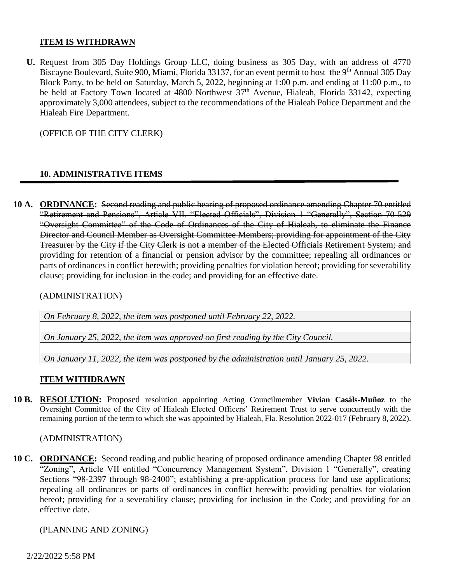#### **ITEM IS WITHDRAWN**

**U.** Request from 305 Day Holdings Group LLC, doing business as 305 Day, with an address of 4770 Biscayne Boulevard, Suite 900, Miami, Florida 33137, for an event permit to host the 9<sup>th</sup> Annual 305 Day Block Party, to be held on Saturday, March 5, 2022, beginning at 1:00 p.m. and ending at 11:00 p.m., to be held at Factory Town located at 4800 Northwest  $37<sup>th</sup>$  Avenue, Hialeah, Florida 33142, expecting approximately 3,000 attendees, subject to the recommendations of the Hialeah Police Department and the Hialeah Fire Department.

(OFFICE OF THE CITY CLERK)

### **10. ADMINISTRATIVE ITEMS**

**10 A. ORDINANCE:** Second reading and public hearing of proposed ordinance amending Chapter 70 entitled "Retirement and Pensions", Article VII. "Elected Officials", Division 1 "Generally", Section 70-529 "Oversight Committee" of the Code of Ordinances of the City of Hialeah, to eliminate the Finance Director and Council Member as Oversight Committee Members; providing for appointment of the City Treasurer by the City if the City Clerk is not a member of the Elected Officials Retirement System; and providing for retention of a financial or pension advisor by the committee; repealing all ordinances or parts of ordinances in conflict herewith; providing penalties for violation hereof; providing for severability clause; providing for inclusion in the code; and providing for an effective date.

(ADMINISTRATION)

*On February 8, 2022, the item was postponed until February 22, 2022.*

*On January 25, 2022, the item was approved on first reading by the City Council.*

*On January 11, 2022, the item was postponed by the administration until January 25, 2022.*

#### **ITEM WITHDRAWN**

**10 B. RESOLUTION:** Proposed resolution appointing Acting Councilmember **Vivian Casáls-Muñoz** to the Oversight Committee of the City of Hialeah Elected Officers' Retirement Trust to serve concurrently with the remaining portion of the term to which she was appointed by Hialeah, Fla. Resolution 2022-017 (February 8, 2022).

(ADMINISTRATION)

**10 C. ORDINANCE:** Second reading and public hearing of proposed ordinance amending Chapter 98 entitled "Zoning", Article VII entitled "Concurrency Management System", Division 1 "Generally", creating Sections "98-2397 through 98-2400"; establishing a pre-application process for land use applications; repealing all ordinances or parts of ordinances in conflict herewith; providing penalties for violation hereof; providing for a severability clause; providing for inclusion in the Code; and providing for an effective date.

(PLANNING AND ZONING)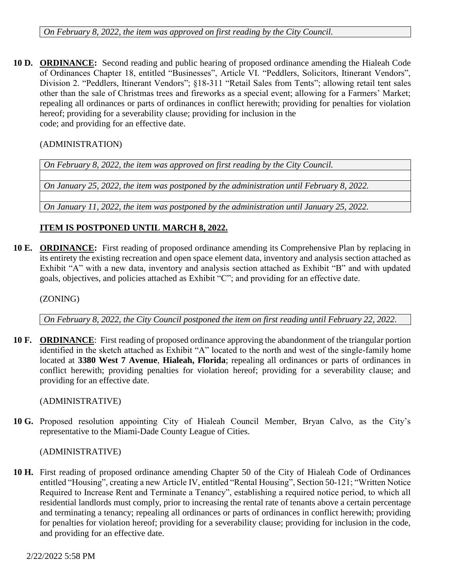*On February 8, 2022, the item was approved on first reading by the City Council.*

**10 D. ORDINANCE:** Second reading and public hearing of proposed ordinance amending the Hialeah Code of Ordinances Chapter 18, entitled "Businesses", Article VI. "Peddlers, Solicitors, Itinerant Vendors", Division 2. "Peddlers, Itinerant Vendors"; §18-311 "Retail Sales from Tents"; allowing retail tent sales other than the sale of Christmas trees and fireworks as a special event; allowing for a Farmers' Market; repealing all ordinances or parts of ordinances in conflict herewith; providing for penalties for violation hereof; providing for a severability clause; providing for inclusion in the code; and providing for an effective date.

(ADMINISTRATION)

*On February 8, 2022, the item was approved on first reading by the City Council.*

*On January 25, 2022, the item was postponed by the administration until February 8, 2022.*

*On January 11, 2022, the item was postponed by the administration until January 25, 2022.*

## **ITEM IS POSTPONED UNTIL MARCH 8, 2022.**

**10 E. ORDINANCE:** First reading of proposed ordinance amending its Comprehensive Plan by replacing in its entirety the existing recreation and open space element data, inventory and analysis section attached as Exhibit "A" with a new data, inventory and analysis section attached as Exhibit "B" and with updated goals, objectives, and policies attached as Exhibit "C"; and providing for an effective date.

(ZONING)

*On February 8, 2022, the City Council postponed the item on first reading until February 22, 2022.*

**10 F. ORDINANCE**: First reading of proposed ordinance approving the abandonment of the triangular portion identified in the sketch attached as Exhibit "A" located to the north and west of the single-family home located at **3380 West 7 Avenue**, **Hialeah, Florida**; repealing all ordinances or parts of ordinances in conflict herewith; providing penalties for violation hereof; providing for a severability clause; and providing for an effective date.

(ADMINISTRATIVE)

**10 G.** Proposed resolution appointing City of Hialeah Council Member, Bryan Calvo, as the City's representative to the Miami-Dade County League of Cities.

(ADMINISTRATIVE)

**10 H.** First reading of proposed ordinance amending Chapter 50 of the City of Hialeah Code of Ordinances entitled "Housing", creating a new Article IV, entitled "Rental Housing", Section 50-121; "Written Notice Required to Increase Rent and Terminate a Tenancy", establishing a required notice period, to which all residential landlords must comply, prior to increasing the rental rate of tenants above a certain percentage and terminating a tenancy; repealing all ordinances or parts of ordinances in conflict herewith; providing for penalties for violation hereof; providing for a severability clause; providing for inclusion in the code, and providing for an effective date.

2/22/2022 5:58 PM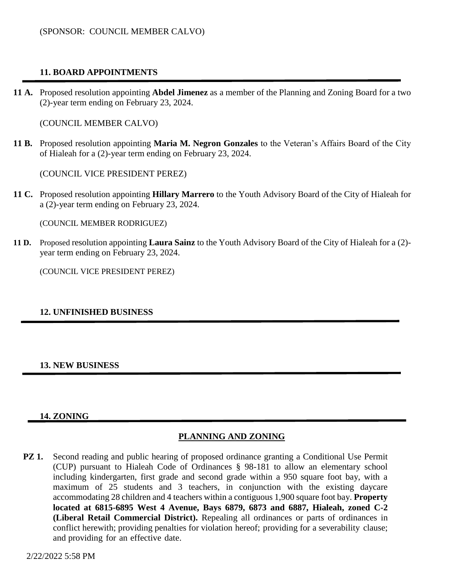## **11. BOARD APPOINTMENTS**

**11 A.** Proposed resolution appointing **Abdel Jimenez** as a member of the Planning and Zoning Board for a two (2)-year term ending on February 23, 2024.

(COUNCIL MEMBER CALVO)

**11 B.** Proposed resolution appointing **Maria M. Negron Gonzales** to the Veteran's Affairs Board of the City of Hialeah for a (2)-year term ending on February 23, 2024.

(COUNCIL VICE PRESIDENT PEREZ)

**11 C.** Proposed resolution appointing **Hillary Marrero** to the Youth Advisory Board of the City of Hialeah for a (2)-year term ending on February 23, 2024.

(COUNCIL MEMBER RODRIGUEZ)

**11 D.** Proposed resolution appointing **Laura Sainz** to the Youth Advisory Board of the City of Hialeah for a (2) year term ending on February 23, 2024.

(COUNCIL VICE PRESIDENT PEREZ)

#### **12. UNFINISHED BUSINESS**

#### **13. NEW BUSINESS**

#### **14. ZONING**

#### **PLANNING AND ZONING**

**PZ 1.** Second reading and public hearing of proposed ordinance granting a Conditional Use Permit (CUP) pursuant to Hialeah Code of Ordinances § 98-181 to allow an elementary school including kindergarten, first grade and second grade within a 950 square foot bay, with a maximum of 25 students and 3 teachers, in conjunction with the existing daycare accommodating 28 children and 4 teachers within a contiguous 1,900 square foot bay. **Property located at 6815-6895 West 4 Avenue, Bays 6879, 6873 and 6887, Hialeah, zoned C-2 (Liberal Retail Commercial District).** Repealing all ordinances or parts of ordinances in conflict herewith; providing penalties for violation hereof; providing for a severability clause; and providing for an effective date.

2/22/2022 5:58 PM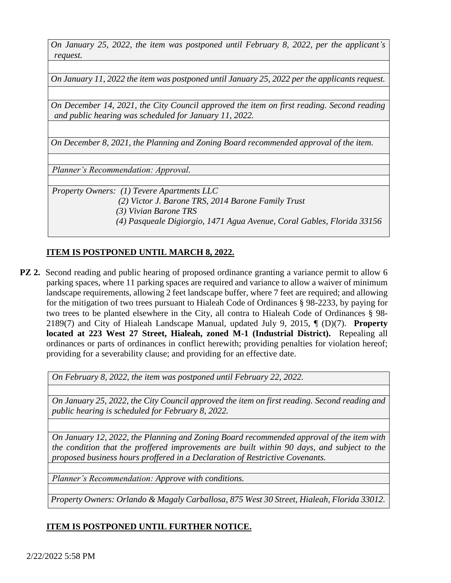*On January 25, 2022, the item was postponed until February 8, 2022, per the applicant's request.*

*On January 11, 2022 the item was postponed until January 25, 2022 per the applicants request.*

*On December 14, 2021, the City Council approved the item on first reading. Second reading and public hearing was scheduled for January 11, 2022.*

*On December 8, 2021, the Planning and Zoning Board recommended approval of the item.*

*Planner's Recommendation: Approval.*

*Property Owners: (1) Tevere Apartments LLC (2) Victor J. Barone TRS, 2014 Barone Family Trust (3) Vivian Barone TRS (4) Pasqueale Digiorgio, 1471 Agua Avenue, Coral Gables, Florida 33156*

### **ITEM IS POSTPONED UNTIL MARCH 8, 2022.**

**PZ 2.** Second reading and public hearing of proposed ordinance granting a variance permit to allow 6 parking spaces, where 11 parking spaces are required and variance to allow a waiver of minimum landscape requirements, allowing 2 feet landscape buffer, where 7 feet are required; and allowing for the mitigation of two trees pursuant to Hialeah Code of Ordinances § 98-2233, by paying for two trees to be planted elsewhere in the City, all contra to Hialeah Code of Ordinances § 98- 2189(7) and City of Hialeah Landscape Manual, updated July 9, 2015, ¶ (D)(7). **Property located at 223 West 27 Street, Hialeah, zoned M-1 (Industrial District).** Repealing all ordinances or parts of ordinances in conflict herewith; providing penalties for violation hereof; providing for a severability clause; and providing for an effective date.

*On February 8, 2022, the item was postponed until February 22, 2022.*

*On January 25, 2022, the City Council approved the item on first reading. Second reading and public hearing is scheduled for February 8, 2022.*

*On January 12, 2022, the Planning and Zoning Board recommended approval of the item with the condition that the proffered improvements are built within 90 days, and subject to the proposed business hours proffered in a Declaration of Restrictive Covenants.*

*Planner's Recommendation: Approve with conditions.* 

*Property Owners: Orlando & Magaly Carballosa, 875 West 30 Street, Hialeah, Florida 33012.*

# **ITEM IS POSTPONED UNTIL FURTHER NOTICE.**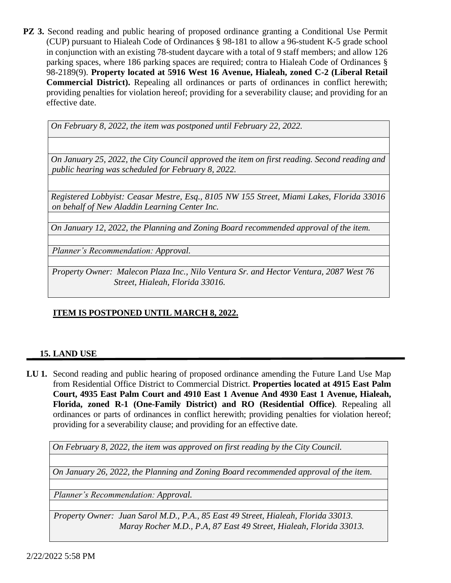**PZ 3.** Second reading and public hearing of proposed ordinance granting a Conditional Use Permit (CUP) pursuant to Hialeah Code of Ordinances § 98-181 to allow a 96-student K-5 grade school in conjunction with an existing 78-student daycare with a total of 9 staff members; and allow 126 parking spaces, where 186 parking spaces are required; contra to Hialeah Code of Ordinances § 98-2189(9). **Property located at 5916 West 16 Avenue, Hialeah, zoned C-2 (Liberal Retail Commercial District).** Repealing all ordinances or parts of ordinances in conflict herewith; providing penalties for violation hereof; providing for a severability clause; and providing for an effective date.

*On February 8, 2022, the item was postponed until February 22, 2022.* 

*On January 25, 2022, the City Council approved the item on first reading. Second reading and public hearing was scheduled for February 8, 2022.*

*Registered Lobbyist: Ceasar Mestre, Esq., 8105 NW 155 Street, Miami Lakes, Florida 33016 on behalf of New Aladdin Learning Center Inc.* 

*On January 12, 2022, the Planning and Zoning Board recommended approval of the item.*

*Planner's Recommendation: Approval.*

*Property Owner: Malecon Plaza Inc., Nilo Ventura Sr. and Hector Ventura, 2087 West 76 Street, Hialeah, Florida 33016.*

# **ITEM IS POSTPONED UNTIL MARCH 8, 2022.**

### **15. LAND USE**

**LU 1.** Second reading and public hearing of proposed ordinance amending the Future Land Use Map from Residential Office District to Commercial District. **Properties located at 4915 East Palm Court, 4935 East Palm Court and 4910 East 1 Avenue And 4930 East 1 Avenue, Hialeah, Florida, zoned R-1 (One-Family District) and RO (Residential Office)**. Repealing all ordinances or parts of ordinances in conflict herewith; providing penalties for violation hereof; providing for a severability clause; and providing for an effective date.

*On February 8, 2022, the item was approved on first reading by the City Council.*

*On January 26, 2022, the Planning and Zoning Board recommended approval of the item.*

*Planner's Recommendation: Approval.*

*Property Owner: Juan Sarol M.D., P.A., 85 East 49 Street, Hialeah, Florida 33013. Maray Rocher M.D., P.A, 87 East 49 Street, Hialeah, Florida 33013.*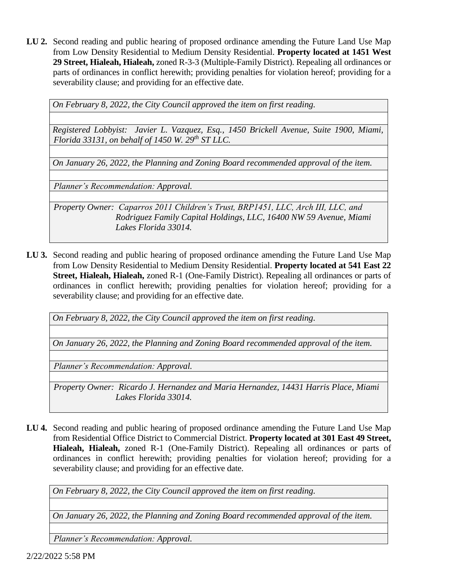**LU 2.** Second reading and public hearing of proposed ordinance amending the Future Land Use Map from Low Density Residential to Medium Density Residential. **Property located at 1451 West 29 Street, Hialeah, Hialeah,** zoned R-3-3 (Multiple-Family District). Repealing all ordinances or parts of ordinances in conflict herewith; providing penalties for violation hereof; providing for a severability clause; and providing for an effective date.

*On February 8, 2022, the City Council approved the item on first reading.*

*Registered Lobbyist: Javier L. Vazquez, Esq., 1450 Brickell Avenue, Suite 1900, Miami, Florida 33131, on behalf of 1450 W. 29th ST LLC.*

*On January 26, 2022, the Planning and Zoning Board recommended approval of the item.*

*Planner's Recommendation: Approval.* 

*Property Owner: Caparros 2011 Children's Trust, BRP1451, LLC, Arch III, LLC, and Rodriguez Family Capital Holdings, LLC, 16400 NW 59 Avenue, Miami Lakes Florida 33014.*

**LU 3.** Second reading and public hearing of proposed ordinance amending the Future Land Use Map from Low Density Residential to Medium Density Residential. **Property located at 541 East 22 Street, Hialeah, Hialeah,** zoned R-1 (One-Family District). Repealing all ordinances or parts of ordinances in conflict herewith; providing penalties for violation hereof; providing for a severability clause; and providing for an effective date.

*On February 8, 2022, the City Council approved the item on first reading.*

*On January 26, 2022, the Planning and Zoning Board recommended approval of the item.*

*Planner's Recommendation: Approval.*

*Property Owner: Ricardo J. Hernandez and Maria Hernandez, 14431 Harris Place, Miami Lakes Florida 33014.*

**LU 4.** Second reading and public hearing of proposed ordinance amending the Future Land Use Map from Residential Office District to Commercial District. **Property located at 301 East 49 Street, Hialeah, Hialeah,** zoned R-1 (One-Family District). Repealing all ordinances or parts of ordinances in conflict herewith; providing penalties for violation hereof; providing for a severability clause; and providing for an effective date.

*On February 8, 2022, the City Council approved the item on first reading.*

*On January 26, 2022, the Planning and Zoning Board recommended approval of the item.*

*Planner's Recommendation: Approval.*